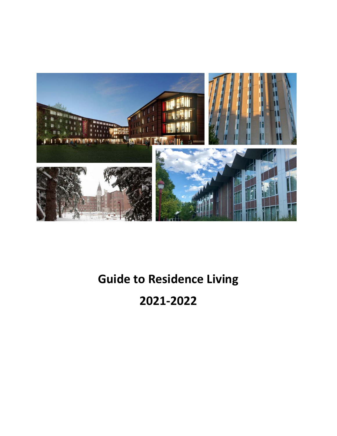

# **Guide to Residence Living**

# **2021-2022**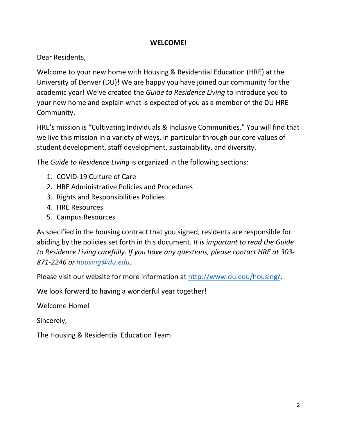#### **WELCOME!**

Dear Residents,

Welcome to your new home with Housing & Residential Education (HRE) at the University of Denver (DU)! We are happy you have joined our community for the academic year! We've created the *Guide to Residence Living* to introduce you to your new home and explain what is expected of you as a member of the DU HRE Community.

HRE's mission is "Cultivating Individuals & Inclusive Communities." You will find that we live this mission in a variety of ways, in particular through our core values of student development, staff development, sustainability, and diversity.

The *Guide to Residence Living* is organized in the following sections:

- 1. COVID-19 Culture of Care
- 2. HRE Administrative Policies and Procedures
- 3. Rights and Responsibilities Policies
- 4. HRE Resources
- 5. Campus Resources

As specified in the housing contract that you signed, residents are responsible for abiding by the policies set forth in this document. *It is important to read the Guide to Residence Living carefully. If you have any questions, please contact HRE at 303- 871-2246 [or housing@du.edu](about:blank)*.

Please visit our website for more information at http://www.du.edu/housing/.

We look forward to having a wonderful year together!

Welcome Home!

Sincerely,

The Housing & Residential Education Team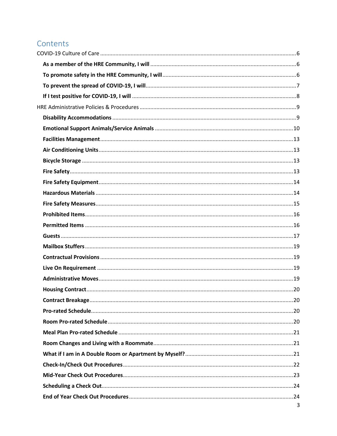# Contents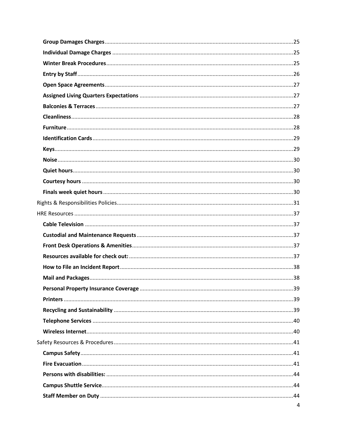| 4 |
|---|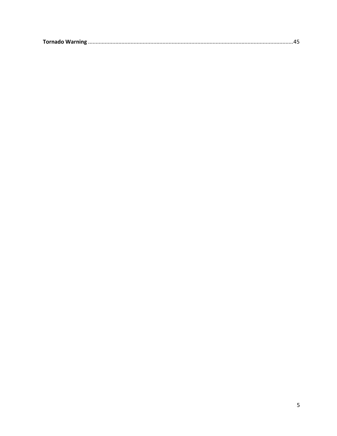|--|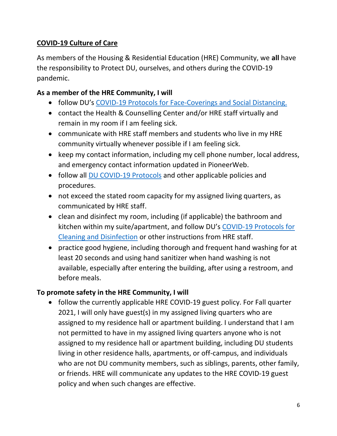# <span id="page-5-0"></span>**COVID-19 Culture of Care**

As members of the Housing & Residential Education (HRE) Community, we **all** have the responsibility to Protect DU, ourselves, and others during the COVID-19 pandemic.

# <span id="page-5-1"></span>**As a member of the HRE Community, I will**

- follow DU's COVID-19 Protocols for [Face-Coverings and Social Distancing.](about:blank)
- contact the Health & Counselling Center and/or HRE staff virtually and remain in my room if I am feeling sick.
- communicate with HRE staff members and students who live in my HRE community virtually whenever possible if I am feeling sick.
- keep my contact information, including my cell phone number, local address, and emergency contact information updated in PioneerWeb.
- follow all [DU COVID-19 Protocols](about:blank) and other applicable policies and procedures.
- not exceed the stated room capacity for my assigned living quarters, as communicated by HRE staff.
- clean and disinfect my room, including (if applicable) the bathroom and kitchen within my suite/apartment, and follow DU's [COVID-19 Protocols for](about:blank)  [Cleaning and Disinfection](about:blank) or other instructions from HRE staff.
- practice good hygiene, including thorough and frequent hand washing for at least 20 seconds and using hand sanitizer when hand washing is not available, especially after entering the building, after using a restroom, and before meals.

# <span id="page-5-2"></span>**To promote safety in the HRE Community, I will**

• follow the currently applicable HRE COVID-19 guest policy. For Fall quarter 2021, I will only have guest(s) in my assigned living quarters who are assigned to my residence hall or apartment building. I understand that I am not permitted to have in my assigned living quarters anyone who is not assigned to my residence hall or apartment building, including DU students living in other residence halls, apartments, or off-campus, and individuals who are not DU community members, such as siblings, parents, other family, or friends. HRE will communicate any updates to the HRE COVID-19 guest policy and when such changes are effective.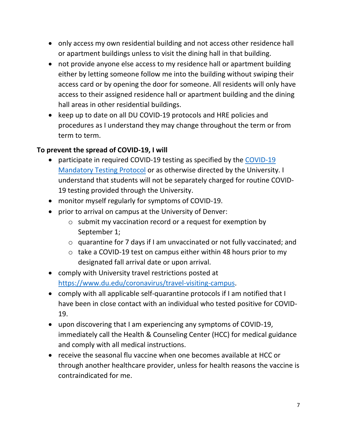- only access my own residential building and not access other residence hall or apartment buildings unless to visit the dining hall in that building.
- not provide anyone else access to my residence hall or apartment building either by letting someone follow me into the building without swiping their access card or by opening the door for someone. All residents will only have access to their assigned residence hall or apartment building and the dining hall areas in other residential buildings.
- keep up to date on all DU COVID-19 protocols and HRE policies and procedures as I understand they may change throughout the term or from term to term.

# <span id="page-6-0"></span>**To prevent the spread of COVID-19, I will**

- participate in required COVID-19 testing as specified by the [COVID-19](about:blank)  [Mandatory Testing Protocol](about:blank) or as otherwise directed by the University. I understand that students will not be separately charged for routine COVID-19 testing provided through the University.
- monitor myself regularly for symptoms of COVID-19.
- prior to arrival on campus at the University of Denver:
	- o submit my vaccination record or a request for exemption by September 1;
	- o quarantine for 7 days if I am unvaccinated or not fully vaccinated; and
	- o take a COVID-19 test on campus either within 48 hours prior to my designated fall arrival date or upon arrival.
- comply with University travel restrictions posted at [https://www.du.edu/coronavirus/travel-visiting-campus.](about:blank)
- comply with all applicable self-quarantine protocols if I am notified that I have been in close contact with an individual who tested positive for COVID-19.
- upon discovering that I am experiencing any symptoms of COVID-19, immediately call the Health & Counseling Center (HCC) for medical guidance and comply with all medical instructions.
- receive the seasonal flu vaccine when one becomes available at HCC or through another healthcare provider, unless for health reasons the vaccine is contraindicated for me.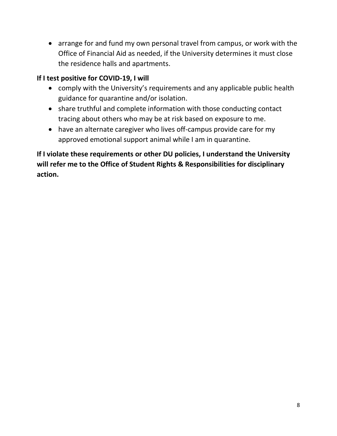• arrange for and fund my own personal travel from campus, or work with the Office of Financial Aid as needed, if the University determines it must close the residence halls and apartments.

# <span id="page-7-0"></span>**If I test positive for COVID-19, I will**

- comply with the University's requirements and any applicable public health guidance for quarantine and/or isolation.
- share truthful and complete information with those conducting contact tracing about others who may be at risk based on exposure to me.
- have an alternate caregiver who lives off-campus provide care for my approved emotional support animal while I am in quarantine.

**If I violate these requirements or other DU policies, I understand the University will refer me to the Office of Student Rights & Responsibilities for disciplinary action.**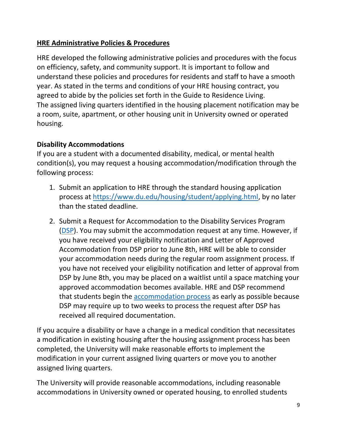# <span id="page-8-0"></span>**HRE Administrative Policies & Procedures**

HRE developed the following administrative policies and procedures with the focus on efficiency, safety, and community support. It is important to follow and understand these policies and procedures for residents and staff to have a smooth year. As stated in the terms and conditions of your HRE housing contract, you agreed to abide by the policies set forth in the Guide to Residence Living. The assigned living quarters identified in the housing placement notification may be a room, suite, apartment, or other housing unit in University owned or operated housing.

#### <span id="page-8-1"></span>**Disability Accommodations**

If you are a student with a documented disability, medical, or mental health condition(s), you may request a housing accommodation/modification through the following process:

- 1. Submit an application to HRE through the standard housing application process at [https://www.du.edu/housing/student/applying.html,](about:blank) by no later than the stated deadline.
- 2. Submit a [Request for Accommodation](about:blank) to the Disability Services Program [\(DSP\)](about:blank). You may submit the accommodation request at any time. However, if you have received your eligibility notification and Letter of Approved Accommodation from DSP prior to June 8th, HRE will be able to consider your accommodation needs during the regular room assignment process. If you have not received your eligibility notification and letter of approval from DSP by June 8th, you may be placed on a waitlist until a space matching your approved accommodation becomes available. HRE and DSP recommend that students begin the [accommodation process](about:blank) as early as possible because DSP may require up to two weeks to process the request after DSP has received all required documentation.

If you acquire a disability or have a change in a medical condition that necessitates a modification in existing housing after the housing assignment process has been completed, the University will make reasonable efforts to implement the modification in your current assigned living quarters or move you to another assigned living quarters.

The University will provide reasonable accommodations, including reasonable accommodations in University owned or operated housing, to enrolled students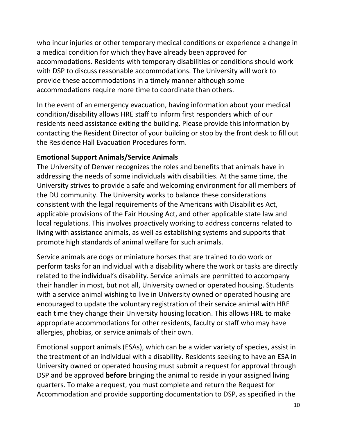who incur injuries or other temporary medical conditions or experience a change in a medical condition for which they have already been approved for accommodations. Residents with temporary disabilities or conditions should work with DSP to discuss reasonable accommodations. The University will work to provide these accommodations in a timely manner although some accommodations require more time to coordinate than others.

In the event of an emergency evacuation, having information about your medical condition/disability allows HRE staff to inform first responders which of our residents need assistance exiting the building. Please provide this information by contacting the Resident Director of your building or stop by the front desk to fill out the Residence Hall Evacuation Procedures form.

#### <span id="page-9-0"></span>**Emotional Support Animals/Service Animals**

The University of Denver recognizes the roles and benefits that animals have in addressing the needs of some individuals with disabilities. At the same time, the University strives to provide a safe and welcoming environment for all members of the DU community. The University works to balance these considerations consistent with the legal requirements of the Americans with Disabilities Act, applicable provisions of the Fair Housing Act, and other applicable state law and local regulations. This involves proactively working to address concerns related to living with assistance animals, as well as establishing systems and supports that promote high standards of animal welfare for such animals.

Service animals are dogs or miniature horses that are trained to do work or perform tasks for an individual with a disability where the work or tasks are directly related to the individual's disability. Service animals are permitted to accompany their handler in most, but not all, University owned or operated housing. Students with a service animal wishing to live in University owned or operated housing are encouraged to update the voluntary registration of their service animal with HRE each time they change their University housing location. This allows HRE to make appropriate accommodations for other residents, faculty or staff who may have allergies, phobias, or service animals of their own.

Emotional support animals (ESAs), which can be a wider variety of species, assist in the treatment of an individual with a disability. Residents seeking to have an ESA in University owned or operated housing must submit a request for approval through DSP and be approved **before** bringing the animal to reside in your assigned living quarters. To make a request, you must complete and return the [Request for](about:blank)  [Accommodation](about:blank) and provide supporting documentation to DSP, as specified in the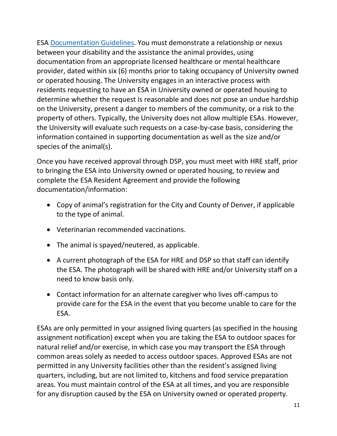[ESA Documentation Guidelines.](about:blank) You must demonstrate a relationship or nexus between your disability and the assistance the animal provides, using documentation from an appropriate licensed healthcare or mental healthcare provider, dated within six (6) months prior to taking occupancy of University owned or operated housing. The University engages in an interactive process with residents requesting to have an ESA in University owned or operated housing to determine whether the request is reasonable and does not pose an undue hardship on the University, present a danger to members of the community, or a risk to the property of others. Typically, the University does not allow multiple ESAs. However, the University will evaluate such requests on a case-by-case basis, considering the information contained in supporting documentation as well as the size and/or species of the animal(s).

Once you have received approval through DSP, you must meet with HRE staff, prior to bringing the ESA into University owned or operated housing, to review and complete the ESA Resident Agreement and provide the following documentation/information:

- Copy of animal's registration for the City and County of Denver, if applicable to the type of animal.
- Veterinarian recommended vaccinations.
- The animal is spayed/neutered, as applicable.
- A current photograph of the ESA for HRE and DSP so that staff can identify the ESA. The photograph will be shared with HRE and/or University staff on a need to know basis only.
- Contact information for an alternate caregiver who lives off-campus to provide care for the ESA in the event that you become unable to care for the ESA.

ESAs are only permitted in your assigned living quarters (as specified in the housing assignment notification) except when you are taking the ESA to outdoor spaces for natural relief and/or exercise, in which case you may transport the ESA through common areas solely as needed to access outdoor spaces. Approved ESAs are not permitted in any University facilities other than the resident's assigned living quarters, including, but are not limited to, kitchens and food service preparation areas. You must maintain control of the ESA at all times, and you are responsible for any disruption caused by the ESA on University owned or operated property.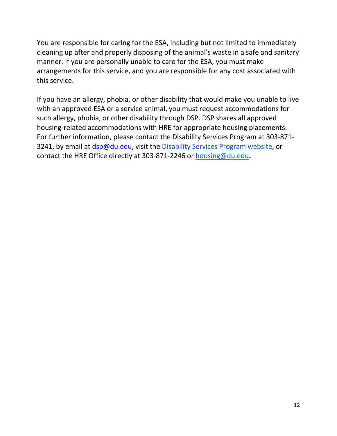You are responsible for caring for the ESA, including but not limited to immediately cleaning up after and properly disposing of the animal's waste in a safe and sanitary manner. If you are personally unable to care for the ESA, you must make arrangements for this service, and you are responsible for any cost associated with this service.

If you have an allergy, phobia, or other disability that would make you unable to live with an approved ESA or a service animal, you must request accommodations for such allergy, phobia, or other disability through DSP. DSP shares all approved housing-related accommodations with HRE for appropriate housing placements. For further information, please contact the Disability Services Program at 303-871 3241, by email at [dsp@du.edu,](about:blank) visit the [Disability Services](about:blank) Program website, or contact the HRE Office directly at 303-871-2246 or [housing@du.edu](about:blank)**.**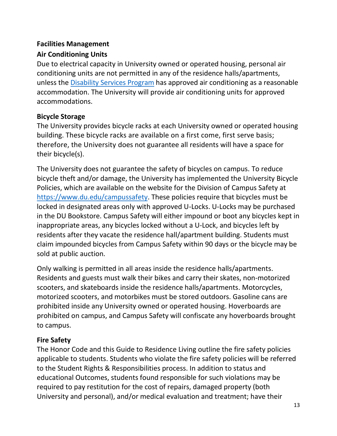#### <span id="page-12-0"></span>**Facilities Management**

# <span id="page-12-1"></span>**Air Conditioning Units**

Due to electrical capacity in University owned or operated housing, personal air conditioning units are not permitted in any of the residence halls/apartments, unless the [Disability Services Program](about:blank) has approved air conditioning as a reasonable accommodation. The University will provide air conditioning units for approved accommodations.

# <span id="page-12-2"></span>**Bicycle Storage**

The University provides bicycle racks at each University owned or operated housing building. These bicycle racks are available on a first come, first serve basis; therefore, the University does not guarantee all residents will have a space for their bicycle(s).

The University does not guarantee the safety of bicycles on campus. To reduce bicycle theft and/or damage, the University has implemented the University Bicycle Policies, which are available on the website for the Division of Campus Safety at [https://www.du.edu/campussafety.](about:blank) These policies require that bicycles must be locked in designated areas only with approved U-Locks. U-Locks may be purchased in the DU Bookstore. Campus Safety will either impound or boot any bicycles kept in inappropriate areas, any bicycles locked without a U-Lock, and bicycles left by residents after they vacate the residence hall/apartment building. Students must claim impounded bicycles from Campus Safety within 90 days or the bicycle may be sold at public auction.

Only walking is permitted in all areas inside the residence halls/apartments. Residents and guests must walk their bikes and carry their skates, non-motorized scooters, and skateboards inside the residence halls/apartments. Motorcycles, motorized scooters, and motorbikes must be stored outdoors. Gasoline cans are prohibited inside any University owned or operated housing. Hoverboards are prohibited on campus, and Campus Safety will confiscate any hoverboards brought to campus.

# <span id="page-12-3"></span>**Fire Safety**

The Honor Code and this Guide to Residence Living outline the fire safety policies applicable to students. Students who violate the fire safety policies will be referred to the Student Rights & Responsibilities process. In addition to status and educational Outcomes, students found responsible for such violations may be required to pay restitution for the cost of repairs, damaged property (both University and personal), and/or medical evaluation and treatment; have their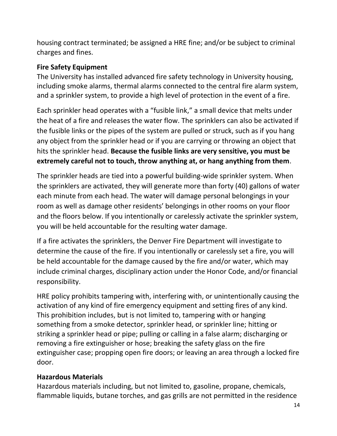housing contract terminated; be assigned a HRE fine; and/or be subject to criminal charges and fines.

# <span id="page-13-0"></span>**Fire Safety Equipment**

The University has installed advanced fire safety technology in University housing, including smoke alarms, thermal alarms connected to the central fire alarm system, and a sprinkler system, to provide a high level of protection in the event of a fire.

Each sprinkler head operates with a "fusible link," a small device that melts under the heat of a fire and releases the water flow. The sprinklers can also be activated if the fusible links or the pipes of the system are pulled or struck, such as if you hang any object from the sprinkler head or if you are carrying or throwing an object that hits the sprinkler head. **Because the fusible links are very sensitive, you must be extremely careful not to touch, throw anything at, or hang anything from them**.

The sprinkler heads are tied into a powerful building-wide sprinkler system. When the sprinklers are activated, they will generate more than forty (40) gallons of water each minute from each head. The water will damage personal belongings in your room as well as damage other residents' belongings in other rooms on your floor and the floors below. If you intentionally or carelessly activate the sprinkler system, you will be held accountable for the resulting water damage.

If a fire activates the sprinklers, the Denver Fire Department will investigate to determine the cause of the fire. If you intentionally or carelessly set a fire, you will be held accountable for the damage caused by the fire and/or water, which may include criminal charges, disciplinary action under the Honor Code, and/or financial responsibility.

HRE policy prohibits tampering with, interfering with, or unintentionally causing the activation of any kind of fire emergency equipment and setting fires of any kind. This prohibition includes, but is not limited to, tampering with or hanging something from a smoke detector, sprinkler head, or sprinkler line; hitting or striking a sprinkler head or pipe; pulling or calling in a false alarm; discharging or removing a fire extinguisher or hose; breaking the safety glass on the fire extinguisher case; propping open fire doors; or leaving an area through a locked fire door.

# <span id="page-13-1"></span>**Hazardous Materials**

Hazardous materials including, but not limited to, gasoline, propane, chemicals, flammable liquids, butane torches, and gas grills are not permitted in the residence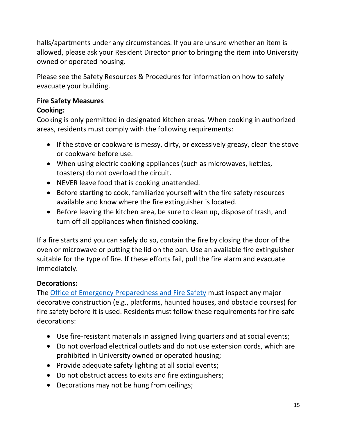halls/apartments under any circumstances. If you are unsure whether an item is allowed, please ask your Resident Director prior to bringing the item into University owned or operated housing.

Please see the Safety Resources & Procedures for information on how to safely evacuate your building.

# <span id="page-14-0"></span>**Fire Safety Measures**

# **Cooking:**

Cooking is only permitted in designated kitchen areas. When cooking in authorized areas, residents must comply with the following requirements:

- If the stove or cookware is messy, dirty, or excessively greasy, clean the stove or cookware before use.
- When using electric cooking appliances (such as microwaves, kettles, toasters) do not overload the circuit.
- NEVER leave food that is cooking unattended.
- Before starting to cook, familiarize yourself with the fire safety resources available and know where the fire extinguisher is located.
- Before leaving the kitchen area, be sure to clean up, dispose of trash, and turn off all appliances when finished cooking.

If a fire starts and you can safely do so, contain the fire by closing the door of the oven or microwave or putting the lid on the pan. Use an available fire extinguisher suitable for the type of fire. If these efforts fail, pull the fire alarm and evacuate immediately.

# **Decorations:**

The [Office of Emergency Preparedness and Fire Safety](about:blank) must inspect any major decorative construction (e.g., platforms, haunted houses, and obstacle courses) for fire safety before it is used. Residents must follow these requirements for fire-safe decorations:

- Use fire-resistant materials in assigned living quarters and at social events;
- Do not overload electrical outlets and do not use extension cords, which are prohibited in University owned or operated housing;
- Provide adequate safety lighting at all social events;
- Do not obstruct access to exits and fire extinguishers;
- Decorations may not be hung from ceilings;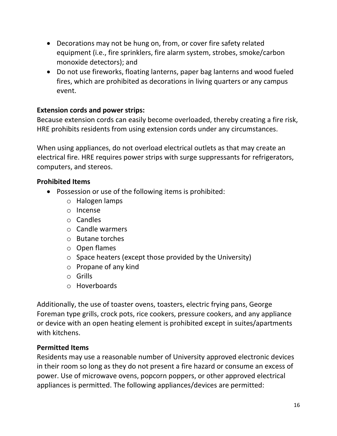- Decorations may not be hung on, from, or cover fire safety related equipment (i.e., fire sprinklers, fire alarm system, strobes, smoke/carbon monoxide detectors); and
- Do not use fireworks, floating lanterns, paper bag lanterns and wood fueled fires, which are prohibited as decorations in living quarters or any campus event.

#### **Extension cords and power strips:**

Because extension cords can easily become overloaded, thereby creating a fire risk, HRE prohibits residents from using extension cords under any circumstances.

When using appliances, do not overload electrical outlets as that may create an electrical fire. HRE requires power strips with surge suppressants for refrigerators, computers, and stereos.

#### <span id="page-15-0"></span>**Prohibited Items**

- Possession or use of the following items is prohibited:
	- o Halogen lamps
	- o Incense
	- o Candles
	- o Candle warmers
	- o Butane torches
	- o Open flames
	- o Space heaters (except those provided by the University)
	- o Propane of any kind
	- o Grills
	- o Hoverboards

Additionally, the use of toaster ovens, toasters, electric frying pans, George Foreman type grills, crock pots, rice cookers, pressure cookers, and any appliance or device with an open heating element is prohibited except in suites/apartments with kitchens.

#### <span id="page-15-1"></span>**Permitted Items**

Residents may use a reasonable number of University approved electronic devices in their room so long as they do not present a fire hazard or consume an excess of power. Use of microwave ovens, popcorn poppers, or other approved electrical appliances is permitted. The following appliances/devices are permitted: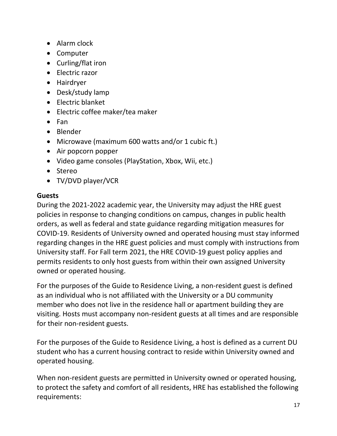- Alarm clock
- Computer
- Curling/flat iron
- Electric razor
- Hairdryer
- Desk/study lamp
- Electric blanket
- Electric coffee maker/tea maker
- Fan
- Blender
- Microwave (maximum 600 watts and/or 1 cubic ft.)
- Air popcorn popper
- Video game consoles (PlayStation, Xbox, Wii, etc.)
- Stereo
- TV/DVD player/VCR

#### <span id="page-16-0"></span>**Guests**

During the 2021-2022 academic year, the University may adjust the HRE guest policies in response to changing conditions on campus, changes in public health orders, as well as federal and state guidance regarding mitigation measures for COVID-19. Residents of University owned and operated housing must stay informed regarding changes in the HRE guest policies and must comply with instructions from University staff. For Fall term 2021, the HRE COVID-19 guest policy applies and permits residents to only host guests from within their own assigned University owned or operated housing.

For the purposes of the Guide to Residence Living, a non-resident guest is defined as an individual who is not affiliated with the University or a DU community member who does not live in the residence hall or apartment building they are visiting. Hosts must accompany non-resident guests at all times and are responsible for their non-resident guests.

For the purposes of the Guide to Residence Living, a host is defined as a current DU student who has a current housing contract to reside within University owned and operated housing.

When non-resident guests are permitted in University owned or operated housing, to protect the safety and comfort of all residents, HRE has established the following requirements: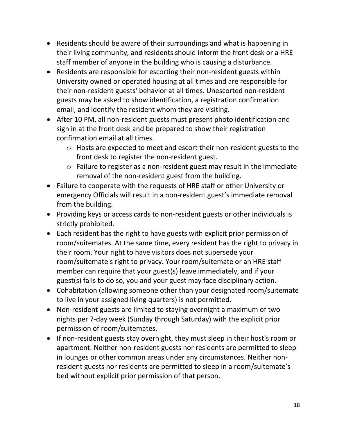- Residents should be aware of their surroundings and what is happening in their living community, and residents should inform the front desk or a HRE staff member of anyone in the building who is causing a disturbance.
- Residents are responsible for escorting their non-resident guests within University owned or operated housing at all times and are responsible for their non-resident guests' behavior at all times. Unescorted non-resident guests may be asked to show identification, a registration confirmation email, and identify the resident whom they are visiting.
- After 10 PM, all non-resident guests must present photo identification and sign in at the front desk and be prepared to show their registration confirmation email at all times.
	- o Hosts are expected to meet and escort their non-resident guests to the front desk to register the non-resident guest.
	- o Failure to register as a non-resident guest may result in the immediate removal of the non-resident guest from the building.
- Failure to cooperate with the requests of HRE staff or other University or emergency Officials will result in a non-resident guest's immediate removal from the building.
- Providing keys or access cards to non-resident guests or other individuals is strictly prohibited.
- Each resident has the right to have guests with explicit prior permission of room/suitemates. At the same time, every resident has the right to privacy in their room. Your right to have visitors does not supersede your room/suitemate's right to privacy. Your room/suitemate or an HRE staff member can require that your guest(s) leave immediately, and if your guest(s) fails to do so, you and your guest may face disciplinary action.
- Cohabitation (allowing someone other than your designated room/suitemate to live in your assigned living quarters) is not permitted.
- Non-resident guests are limited to staying overnight a maximum of two nights per 7-day week (Sunday through Saturday) with the explicit prior permission of room/suitemates.
- If non-resident guests stay overnight, they must sleep in their host's room or apartment. Neither non-resident guests nor residents are permitted to sleep in lounges or other common areas under any circumstances. Neither nonresident guests nor residents are permitted to sleep in a room/suitemate's bed without explicit prior permission of that person.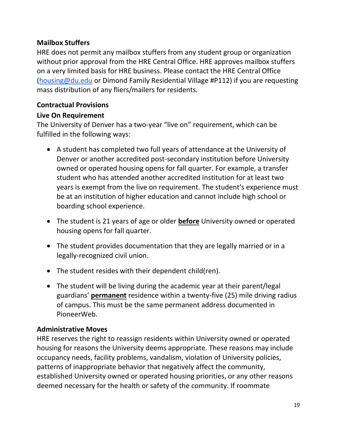# <span id="page-18-0"></span>**Mailbox Stuffers**

HRE does not permit any mailbox stuffers from any student group or organization without prior approval from the HRE Central Office. HRE approves mailbox stuffers on a very limited basis for HRE business. Please contact the HRE Central Office [\(housing@du.edu](about:blank) or Dimond Family Residential Village #P112) if you are requesting mass distribution of any fliers/mailers for residents.

# <span id="page-18-1"></span>**Contractual Provisions**

# <span id="page-18-2"></span>**Live On Requirement**

The University of Denver has a two-year "live on" requirement, which can be fulfilled in the following ways:

- A student has completed two full years of attendance at the University of Denver or another accredited post-secondary institution before University owned or operated housing opens for fall quarter. For example, a transfer student who has attended another accredited institution for at least two years is exempt from the live on requirement. The student's experience must be at an institution of higher education and cannot include high school or boarding school experience.
- The student is 21 years of age or older **before** University owned or operated housing opens for fall quarter.
- The student provides documentation that they are legally married or in a legally-recognized civil union.
- The student resides with their dependent child(ren).
- The student will be living during the academic year at their parent/legal guardians' **permanent** residence within a twenty-five (25) mile driving radius of campus. This must be the same permanent address documented in PioneerWeb.

# <span id="page-18-3"></span>**Administrative Moves**

HRE reserves the right to reassign residents within University owned or operated housing for reasons the University deems appropriate. These reasons may include occupancy needs, facility problems, vandalism, violation of University policies, patterns of inappropriate behavior that negatively affect the community, established University owned or operated housing priorities, or any other reasons deemed necessary for the health or safety of the community. If roommate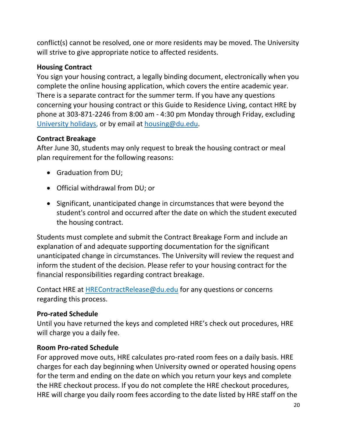conflict(s) cannot be resolved, one or more residents may be moved. The University will strive to give appropriate notice to affected residents.

# <span id="page-19-0"></span>**Housing Contract**

You sign your housing contract, a legally binding document, electronically when you complete the online housing application, which covers the entire academic year. There is a separate contract for the summer term. If you have any questions concerning your housing contract or this Guide to Residence Living, contact HRE by phone at 303-871-2246 from 8:00 am - 4:30 pm Monday through Friday, excluding [University holidays,](about:blank) or by email at [housing@du.edu.](about:blank)

#### <span id="page-19-1"></span>**Contract Breakage**

After June 30, students may only request to break the housing contract or meal plan requirement for the following reasons:

- Graduation from DU;
- Official withdrawal from DU; or
- Significant, unanticipated change in circumstances that were beyond the student's control and occurred after the date on which the student executed the housing contract.

Students must complete and submit the Contract Breakage Form and include an explanation of and adequate supporting documentation for the significant unanticipated change in circumstances. The University will review the request and inform the student of the decision. Please refer to your housing contract for the financial responsibilities regarding contract breakage.

Contact HRE at HREContractRelease@du.edu for any questions or concerns regarding this process.

# <span id="page-19-2"></span>**Pro-rated Schedule**

Until you have returned the keys and completed HRE's check out procedures, HRE will charge you a daily fee.

# <span id="page-19-3"></span>**Room Pro-rated Schedule**

For approved move outs, HRE calculates pro-rated room fees on a daily basis. HRE charges for each day beginning when University owned or operated housing opens for the term and ending on the date on which you return your keys and complete the HRE checkout process. If you do not complete the HRE checkout procedures, HRE will charge you daily room fees according to the date listed by HRE staff on the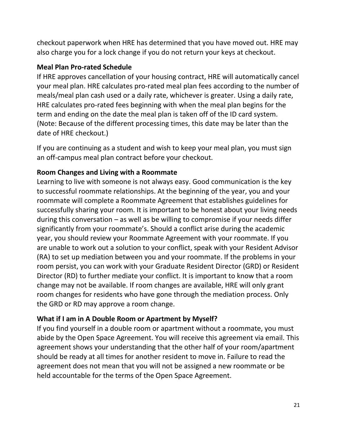checkout paperwork when HRE has determined that you have moved out. HRE may also charge you for a lock change if you do not return your keys at checkout.

# <span id="page-20-0"></span>**Meal Plan Pro-rated Schedule**

If HRE approves cancellation of your housing contract, HRE will automatically cancel your meal plan. HRE calculates pro-rated meal plan fees according to the number of meals/meal plan cash used or a daily rate, whichever is greater. Using a daily rate, HRE calculates pro-rated fees beginning with when the meal plan begins for the term and ending on the date the meal plan is taken off of the ID card system. (Note: Because of the different processing times, this date may be later than the date of HRE checkout.)

If you are continuing as a student and wish to keep your meal plan, you must sign an off-campus meal plan contract before your checkout.

# <span id="page-20-1"></span>**Room Changes and Living with a Roommate**

Learning to live with someone is not always easy. Good communication is the key to successful roommate relationships. At the beginning of the year, you and your roommate will complete a Roommate Agreement that establishes guidelines for successfully sharing your room. It is important to be honest about your living needs during this conversation – as well as be willing to compromise if your needs differ significantly from your roommate's. Should a conflict arise during the academic year, you should review your Roommate Agreement with your roommate. If you are unable to work out a solution to your conflict, speak with your Resident Advisor (RA) to set up mediation between you and your roommate. If the problems in your room persist, you can work with your Graduate Resident Director (GRD) or Resident Director (RD) to further mediate your conflict. It is important to know that a room change may not be available. If room changes are available, HRE will only grant room changes for residents who have gone through the mediation process. Only the GRD or RD may approve a room change.

# <span id="page-20-2"></span>**What if I am in A Double Room or Apartment by Myself?**

If you find yourself in a double room or apartment without a roommate, you must abide by the Open Space Agreement. You will receive this agreement via email. This agreement shows your understanding that the other half of your room/apartment should be ready at all times for another resident to move in. Failure to read the agreement does not mean that you will not be assigned a new roommate or be held accountable for the terms of the Open Space Agreement.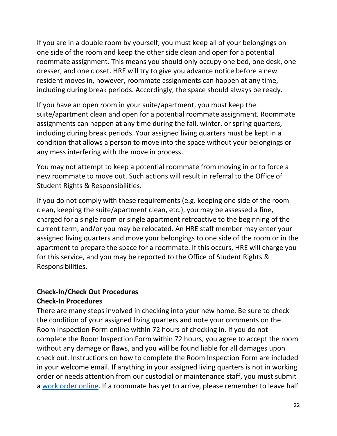If you are in a double room by yourself, you must keep all of your belongings on one side of the room and keep the other side clean and open for a potential roommate assignment. This means you should only occupy one bed, one desk, one dresser, and one closet. HRE will try to give you advance notice before a new resident moves in, however, roommate assignments can happen at any time, including during break periods. Accordingly, the space should always be ready.

If you have an open room in your suite/apartment, you must keep the suite/apartment clean and open for a potential roommate assignment. Roommate assignments can happen at any time during the fall, winter, or spring quarters, including during break periods. Your assigned living quarters must be kept in a condition that allows a person to move into the space without your belongings or any mess interfering with the move in process.

You may not attempt to keep a potential roommate from moving in or to force a new roommate to move out. Such actions will result in referral to the Office of Student Rights & Responsibilities.

If you do not comply with these requirements (e.g. keeping one side of the room clean, keeping the suite/apartment clean, etc.), you may be assessed a fine, charged for a single room or single apartment retroactive to the beginning of the current term, and/or you may be relocated. An HRE staff member may enter your assigned living quarters and move your belongings to one side of the room or in the apartment to prepare the space for a roommate. If this occurs, HRE will charge you for this service, and you may be reported to the Office of Student Rights & Responsibilities.

# <span id="page-21-0"></span>**Check-In/Check Out Procedures Check-In Procedures**

There are many steps involved in checking into your new home. Be sure to check the condition of your assigned living quarters and note your comments on the Room Inspection Form online within 72 hours of checking in. If you do not complete the Room Inspection Form within 72 hours, you agree to accept the room without any damage or flaws, and you will be found liable for all damages upon check out. Instructions on how to complete the Room Inspection Form are included in your welcome email. If anything in your assigned living quarters is not in working order or needs attention from our custodial or maintenance staff, you must submit a [work order online.](about:blank) If a roommate has yet to arrive, please remember to leave half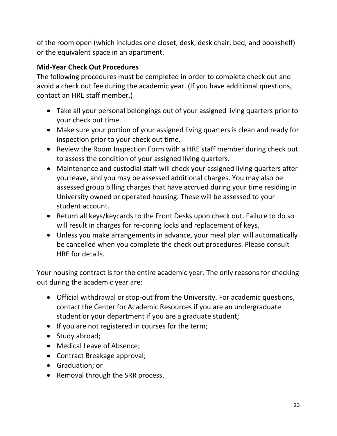of the room open (which includes one closet, desk, desk chair, bed, and bookshelf) or the equivalent space in an apartment.

# <span id="page-22-0"></span>**Mid-Year Check Out Procedures**

The following procedures must be completed in order to complete check out and avoid a check out fee during the academic year. (If you have additional questions, contact an HRE staff member.)

- Take all your personal belongings out of your assigned living quarters prior to your check out time.
- Make sure your portion of your assigned living quarters is clean and ready for inspection prior to your check out time.
- Review the Room Inspection Form with a HRE staff member during check out to assess the condition of your assigned living quarters.
- Maintenance and custodial staff will check your assigned living quarters after you leave, and you may be assessed additional charges. You may also be assessed group billing charges that have accrued during your time residing in University owned or operated housing. These will be assessed to your student account.
- Return all keys/keycards to the Front Desks upon check out. Failure to do so will result in charges for re-coring locks and replacement of keys.
- Unless you make arrangements in advance, your meal plan will automatically be cancelled when you complete the check out procedures. Please consult HRE for details.

Your housing contract is for the entire academic year. The only reasons for checking out during the academic year are:

- Official withdrawal or stop-out from the University. For academic questions, contact the Center for Academic Resources if you are an undergraduate student or your department if you are a graduate student;
- If you are not registered in courses for the term;
- Study abroad;
- Medical Leave of Absence;
- Contract Breakage approval;
- Graduation; or
- Removal through the SRR process.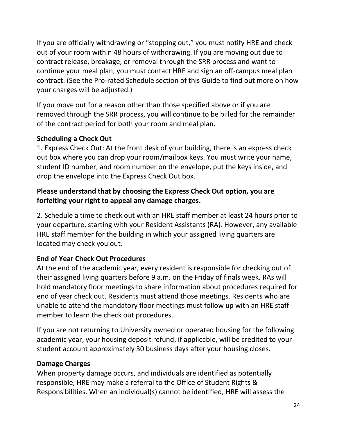If you are officially withdrawing or "stopping out," you must notify HRE and check out of your room within 48 hours of withdrawing. If you are moving out due to contract release, breakage, or removal through the SRR process and want to continue your meal plan, you must contact HRE and sign an off-campus meal plan contract. (See the Pro-rated Schedule section of this Guide to find out more on how your charges will be adjusted.)

If you move out for a reason other than those specified above or if you are removed through the SRR process, you will continue to be billed for the remainder of the contract period for both your room and meal plan.

# <span id="page-23-0"></span>**Scheduling a Check Out**

1. Express Check Out: At the front desk of your building, there is an express check out box where you can drop your room/mailbox keys. You must write your name, student ID number, and room number on the envelope, put the keys inside, and drop the envelope into the Express Check Out box.

# **Please understand that by choosing the Express Check Out option, you are forfeiting your right to appeal any damage charges.**

2. Schedule a time to check out with an HRE staff member at least 24 hours prior to your departure, starting with your Resident Assistants (RA). However, any available HRE staff member for the building in which your assigned living quarters are located may check you out.

# <span id="page-23-1"></span>**End of Year Check Out Procedures**

At the end of the academic year, every resident is responsible for checking out of their assigned living quarters before 9 a.m. on the Friday of finals week. RAs will hold mandatory floor meetings to share information about procedures required for end of year check out. Residents must attend those meetings. Residents who are unable to attend the mandatory floor meetings must follow up with an HRE staff member to learn the check out procedures.

If you are not returning to University owned or operated housing for the following academic year, your housing deposit refund, if applicable, will be credited to your student account approximately 30 business days after your housing closes.

# **Damage Charges**

When property damage occurs, and individuals are identified as potentially responsible, HRE may make a referral to the Office of Student Rights & Responsibilities. When an individual(s) cannot be identified, HRE will assess the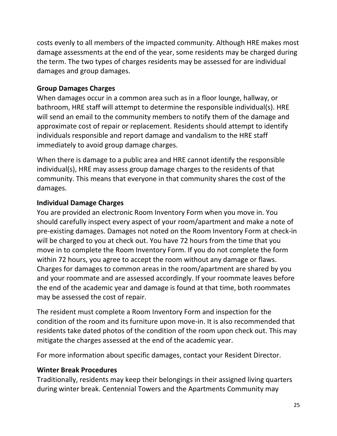costs evenly to all members of the impacted community. Although HRE makes most damage assessments at the end of the year, some residents may be charged during the term. The two types of charges residents may be assessed for are individual damages and group damages.

# <span id="page-24-0"></span>**Group Damages Charges**

When damages occur in a common area such as in a floor lounge, hallway, or bathroom, HRE staff will attempt to determine the responsible individual(s). HRE will send an email to the community members to notify them of the damage and approximate cost of repair or replacement. Residents should attempt to identify individuals responsible and report damage and vandalism to the HRE staff immediately to avoid group damage charges.

When there is damage to a public area and HRE cannot identify the responsible individual(s), HRE may assess group damage charges to the residents of that community. This means that everyone in that community shares the cost of the damages.

# <span id="page-24-1"></span>**Individual Damage Charges**

You are provided an electronic Room Inventory Form when you move in. You should carefully inspect every aspect of your room/apartment and make a note of pre-existing damages. Damages not noted on the Room Inventory Form at check-in will be charged to you at check out. You have 72 hours from the time that you move in to complete the Room Inventory Form. If you do not complete the form within 72 hours, you agree to accept the room without any damage or flaws. Charges for damages to common areas in the room/apartment are shared by you and your roommate and are assessed accordingly. If your roommate leaves before the end of the academic year and damage is found at that time, both roommates may be assessed the cost of repair.

The resident must complete a Room Inventory Form and inspection for the condition of the room and its furniture upon move-in. It is also recommended that residents take dated photos of the condition of the room upon check out. This may mitigate the charges assessed at the end of the academic year.

For more information about specific damages, contact your Resident Director.

# <span id="page-24-2"></span>**Winter Break Procedures**

Traditionally, residents may keep their belongings in their assigned living quarters during winter break. Centennial Towers and the Apartments Community may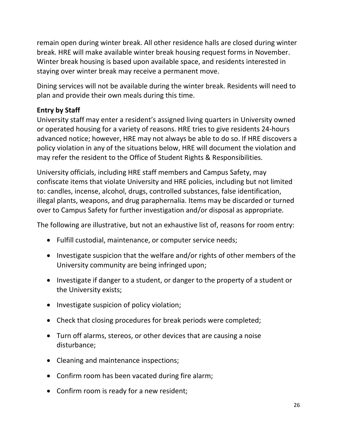remain open during winter break. All other residence halls are closed during winter break. HRE will make available winter break housing request forms in November. Winter break housing is based upon available space, and residents interested in staying over winter break may receive a permanent move.

Dining services will not be available during the winter break. Residents will need to plan and provide their own meals during this time.

# <span id="page-25-0"></span>**Entry by Staff**

University staff may enter a resident's assigned living quarters in University owned or operated housing for a variety of reasons. HRE tries to give residents 24-hours advanced notice; however, HRE may not always be able to do so. If HRE discovers a policy violation in any of the situations below, HRE will document the violation and may refer the resident to the Office of Student Rights & Responsibilities.

University officials, including HRE staff members and Campus Safety, may confiscate items that violate University and HRE policies, including but not limited to: candles, incense, alcohol, drugs, controlled substances, false identification, illegal plants, weapons, and drug paraphernalia. Items may be discarded or turned over to Campus Safety for further investigation and/or disposal as appropriate.

The following are illustrative, but not an exhaustive list of, reasons for room entry:

- Fulfill custodial, maintenance, or computer service needs;
- Investigate suspicion that the welfare and/or rights of other members of the University community are being infringed upon;
- Investigate if danger to a student, or danger to the property of a student or the University exists;
- Investigate suspicion of policy violation;
- Check that closing procedures for break periods were completed;
- Turn off alarms, stereos, or other devices that are causing a noise disturbance;
- Cleaning and maintenance inspections;
- Confirm room has been vacated during fire alarm;
- Confirm room is ready for a new resident;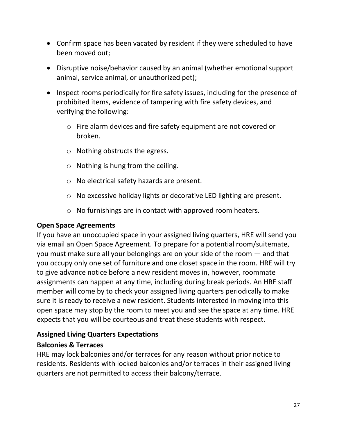- Confirm space has been vacated by resident if they were scheduled to have been moved out;
- Disruptive noise/behavior caused by an animal (whether emotional support animal, service animal, or unauthorized pet);
- Inspect rooms periodically for fire safety issues, including for the presence of prohibited items, evidence of tampering with fire safety devices, and verifying the following:
	- o Fire alarm devices and fire safety equipment are not covered or broken.
	- o Nothing obstructs the egress.
	- $\circ$  Nothing is hung from the ceiling.
	- o No electrical safety hazards are present.
	- o No excessive holiday lights or decorative LED lighting are present.
	- o No furnishings are in contact with approved room heaters.

# <span id="page-26-0"></span>**Open Space Agreements**

If you have an unoccupied space in your assigned living quarters, HRE will send you via email an Open Space Agreement. To prepare for a potential room/suitemate, you must make sure all your belongings are on your side of the room — and that you occupy only one set of furniture and one closet space in the room. HRE will try to give advance notice before a new resident moves in, however, roommate assignments can happen at any time, including during break periods. An HRE staff member will come by to check your assigned living quarters periodically to make sure it is ready to receive a new resident. Students interested in moving into this open space may stop by the room to meet you and see the space at any time. HRE expects that you will be courteous and treat these students with respect.

# <span id="page-26-1"></span>**Assigned Living Quarters Expectations**

# <span id="page-26-2"></span>**Balconies & Terraces**

HRE may lock balconies and/or terraces for any reason without prior notice to residents. Residents with locked balconies and/or terraces in their assigned living quarters are not permitted to access their balcony/terrace.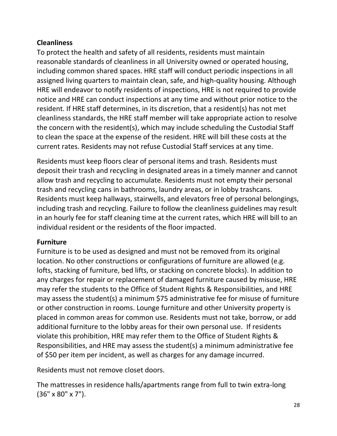# <span id="page-27-0"></span>**Cleanliness**

To protect the health and safety of all residents, residents must maintain reasonable standards of cleanliness in all University owned or operated housing, including common shared spaces. HRE staff will conduct periodic inspections in all assigned living quarters to maintain clean, safe, and high-quality housing. Although HRE will endeavor to notify residents of inspections, HRE is not required to provide notice and HRE can conduct inspections at any time and without prior notice to the resident. If HRE staff determines, in its discretion, that a resident(s) has not met cleanliness standards, the HRE staff member will take appropriate action to resolve the concern with the resident(s), which may include scheduling the Custodial Staff to clean the space at the expense of the resident. HRE will bill these costs at the current rates. Residents may not refuse Custodial Staff services at any time.

Residents must keep floors clear of personal items and trash. Residents must deposit their trash and recycling in designated areas in a timely manner and cannot allow trash and recycling to accumulate. Residents must not empty their personal trash and recycling cans in bathrooms, laundry areas, or in lobby trashcans. Residents must keep hallways, stairwells, and elevators free of personal belongings, including trash and recycling. Failure to follow the cleanliness guidelines may result in an hourly fee for staff cleaning time at the current rates, which HRE will bill to an individual resident or the residents of the floor impacted.

# <span id="page-27-1"></span>**Furniture**

Furniture is to be used as designed and must not be removed from its original location. No other constructions or configurations of furniture are allowed (e.g. lofts, stacking of furniture, bed lifts, or stacking on concrete blocks). In addition to any charges for repair or replacement of damaged furniture caused by misuse, HRE may refer the students to the Office of Student Rights & Responsibilities, and HRE may assess the student(s) a minimum \$75 administrative fee for misuse of furniture or other construction in rooms. Lounge furniture and other University property is placed in common areas for common use. Residents must not take, borrow, or add additional furniture to the lobby areas for their own personal use. If residents violate this prohibition, HRE may refer them to the Office of Student Rights & Responsibilities, and HRE may assess the student(s) a minimum administrative fee of \$50 per item per incident, as well as charges for any damage incurred.

Residents must not remove closet doors.

The mattresses in residence halls/apartments range from full to twin extra-long (36" x 80" x 7").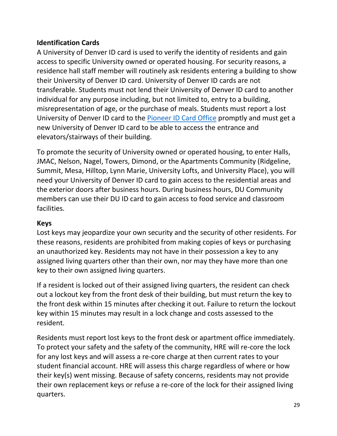# <span id="page-28-0"></span>**Identification Cards**

A University of Denver ID card is used to verify the identity of residents and gain access to specific University owned or operated housing. For security reasons, a residence hall staff member will routinely ask residents entering a building to show their University of Denver ID card. University of Denver ID cards are not transferable. Students must not lend their University of Denver ID card to another individual for any purpose including, but not limited to, entry to a building, misrepresentation of age, or the purchase of meals. Students must report a lost University of Denver ID card to the [Pioneer ID Card Office](about:blank) promptly and must get a new University of Denver ID card to be able to access the entrance and elevators/stairways of their building.

To promote the security of University owned or operated housing, to enter Halls, JMAC, Nelson, Nagel, Towers, Dimond, or the Apartments Community (Ridgeline, Summit, Mesa, Hilltop, Lynn Marie, University Lofts, and University Place), you will need your University of Denver ID card to gain access to the residential areas and the exterior doors after business hours. During business hours, DU Community members can use their DU ID card to gain access to food service and classroom facilities.

# <span id="page-28-1"></span>**Keys**

Lost keys may jeopardize your own security and the security of other residents. For these reasons, residents are prohibited from making copies of keys or purchasing an unauthorized key. Residents may not have in their possession a key to any assigned living quarters other than their own, nor may they have more than one key to their own assigned living quarters.

If a resident is locked out of their assigned living quarters, the resident can check out a lockout key from the front desk of their building, but must return the key to the front desk within 15 minutes after checking it out. Failure to return the lockout key within 15 minutes may result in a lock change and costs assessed to the resident.

Residents must report lost keys to the front desk or apartment office immediately. To protect your safety and the safety of the community, HRE will re-core the lock for any lost keys and will assess a re-core charge at then current rates to your student financial account. HRE will assess this charge regardless of where or how their key(s) went missing. Because of safety concerns, residents may not provide their own replacement keys or refuse a re-core of the lock for their assigned living quarters.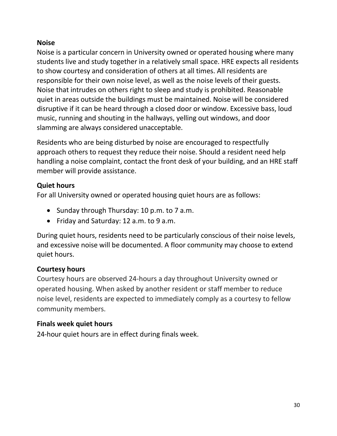# <span id="page-29-0"></span>**Noise**

Noise is a particular concern in University owned or operated housing where many students live and study together in a relatively small space. HRE expects all residents to show courtesy and consideration of others at all times. All residents are responsible for their own noise level, as well as the noise levels of their guests. Noise that intrudes on others right to sleep and study is prohibited. Reasonable quiet in areas outside the buildings must be maintained. Noise will be considered disruptive if it can be heard through a closed door or window. Excessive bass, loud music, running and shouting in the hallways, yelling out windows, and door slamming are always considered unacceptable.

Residents who are being disturbed by noise are encouraged to respectfully approach others to request they reduce their noise. Should a resident need help handling a noise complaint, contact the front desk of your building, and an HRE staff member will provide assistance.

#### <span id="page-29-1"></span>**Quiet hours**

For all University owned or operated housing quiet hours are as follows:

- Sunday through Thursday: 10 p.m. to 7 a.m.
- Friday and Saturday: 12 a.m. to 9 a.m.

During quiet hours, residents need to be particularly conscious of their noise levels, and excessive noise will be documented. A floor community may choose to extend quiet hours.

# <span id="page-29-2"></span>**Courtesy hours**

Courtesy hours are observed 24-hours a day throughout University owned or operated housing. When asked by another resident or staff member to reduce noise level, residents are expected to immediately comply as a courtesy to fellow community members.

# <span id="page-29-3"></span>**Finals week quiet hours**

24-hour quiet hours are in effect during finals week.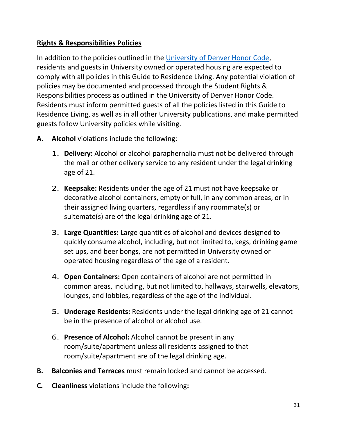# <span id="page-30-0"></span>**Rights & Responsibilities Policies**

In addition to the policies outlined in the [University of Denver Honor Code,](about:blank) residents and guests in University owned or operated housing are expected to comply with all policies in this Guide to Residence Living. Any potential violation of policies may be documented and processed through the Student Rights & Responsibilities process as outlined in the University of Denver Honor Code. Residents must inform permitted guests of all the policies listed in this Guide to Residence Living, as well as in all other University publications, and make permitted guests follow University policies while visiting.

- **A. Alcohol** violations include the following:
	- 1. **Delivery:** Alcohol or alcohol paraphernalia must not be delivered through the mail or other delivery service to any resident under the legal drinking age of 21.
	- 2. **Keepsake:** Residents under the age of 21 must not have keepsake or decorative alcohol containers, empty or full, in any common areas, or in their assigned living quarters, regardless if any roommate(s) or suitemate(s) are of the legal drinking age of 21.
	- 3. **Large Quantities:** Large quantities of alcohol and devices designed to quickly consume alcohol, including, but not limited to, kegs, drinking game set ups, and beer bongs, are not permitted in University owned or operated housing regardless of the age of a resident.
	- 4. **Open Containers:** Open containers of alcohol are not permitted in common areas, including, but not limited to, hallways, stairwells, elevators, lounges, and lobbies, regardless of the age of the individual.
	- 5. **Underage Residents:** Residents under the legal drinking age of 21 cannot be in the presence of alcohol or alcohol use.
	- 6. **Presence of Alcohol:** Alcohol cannot be present in any room/suite/apartment unless all residents assigned to that room/suite/apartment are of the legal drinking age.
- **B. Balconies and Terraces** must remain locked and cannot be accessed.
- **C. Cleanliness** violations include the following**:**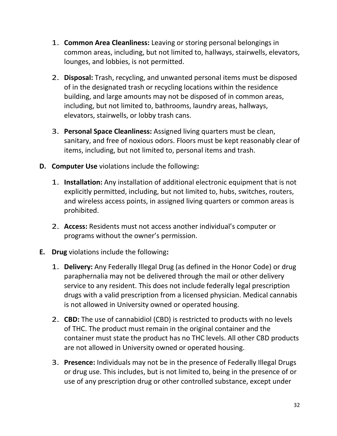- 1. **Common Area Cleanliness:** Leaving or storing personal belongings in common areas, including, but not limited to, hallways, stairwells, elevators, lounges, and lobbies, is not permitted.
- 2. **Disposal:** Trash, recycling, and unwanted personal items must be disposed of in the designated trash or recycling locations within the residence building, and large amounts may not be disposed of in common areas, including, but not limited to, bathrooms, laundry areas, hallways, elevators, stairwells, or lobby trash cans.
- 3. **Personal Space Cleanliness:** Assigned living quarters must be clean, sanitary, and free of noxious odors. Floors must be kept reasonably clear of items, including, but not limited to, personal items and trash.
- **D. Computer Use** violations include the following**:**
	- 1. **Installation:** Any installation of additional electronic equipment that is not explicitly permitted, including, but not limited to, hubs, switches, routers, and wireless access points, in assigned living quarters or common areas is prohibited.
	- 2. **Access:** Residents must not access another individual's computer or programs without the owner's permission.
- **E. Drug** violations include the following**:**
	- 1. **Delivery:** Any Federally Illegal Drug (as defined in the Honor Code) or drug paraphernalia may not be delivered through the mail or other delivery service to any resident. This does not include federally legal prescription drugs with a valid prescription from a licensed physician. Medical cannabis is not allowed in University owned or operated housing.
	- 2. **CBD:** The use of cannabidiol (CBD) is restricted to products with no levels of THC. The product must remain in the original container and the container must state the product has no THC levels. All other CBD products are not allowed in University owned or operated housing.
	- 3. **Presence:** Individuals may not be in the presence of Federally Illegal Drugs or drug use. This includes, but is not limited to, being in the presence of or use of any prescription drug or other controlled substance, except under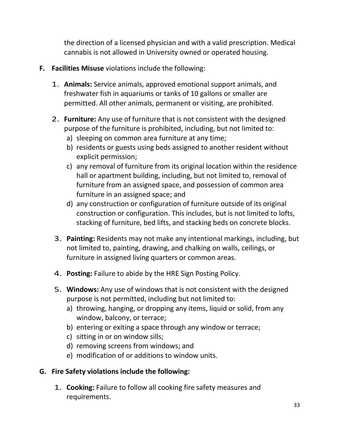the direction of a licensed physician and with a valid prescription. Medical cannabis is not allowed in University owned or operated housing.

- **F. Facilities Misuse** violations include the following:
	- 1. **Animals:** Service animals, approved emotional support animals, and freshwater fish in aquariums or tanks of 10 gallons or smaller are permitted. All other animals, permanent or visiting, are prohibited.
	- 2. **Furniture:** Any use of furniture that is not consistent with the designed purpose of the furniture is prohibited, including, but not limited to:
		- a) sleeping on common area furniture at any time;
		- b) residents or guests using beds assigned to another resident without explicit permission;
		- c) any removal of furniture from its original location within the residence hall or apartment building, including, but not limited to, removal of furniture from an assigned space, and possession of common area furniture in an assigned space; and
		- d) any construction or configuration of furniture outside of its original construction or configuration. This includes, but is not limited to lofts, stacking of furniture, bed lifts, and stacking beds on concrete blocks.
	- 3. **Painting:** Residents may not make any intentional markings, including, but not limited to, painting, drawing, and chalking on walls, ceilings, or furniture in assigned living quarters or common areas.
	- 4. **Posting:** Failure to abide by the HRE Sign Posting Policy.
	- 5. **Windows:** Any use of windows that is not consistent with the designed purpose is not permitted, including but not limited to:
		- a) throwing, hanging, or dropping any items, liquid or solid, from any window, balcony, or terrace;
		- b) entering or exiting a space through any window or terrace;
		- c) sitting in or on window sills;
		- d) removing screens from windows; and
		- e) modification of or additions to window units.

#### **G. Fire Safety violations include the following:**

1. **Cooking:** Failure to follow all cooking fire safety measures and requirements.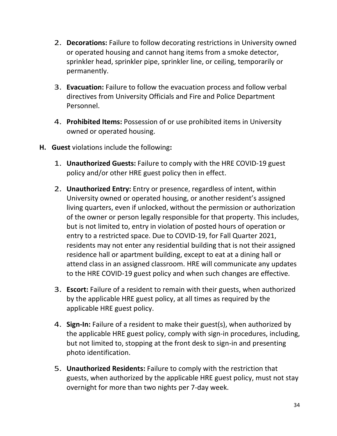- 2. **Decorations:** Failure to follow decorating restrictions in University owned or operated housing and cannot hang items from a smoke detector, sprinkler head, sprinkler pipe, sprinkler line, or ceiling, temporarily or permanently.
- 3. **Evacuation:** Failure to follow the evacuation process and follow verbal directives from University Officials and Fire and Police Department Personnel.
- 4. **Prohibited Items:** Possession of or use prohibited items in University owned or operated housing.
- **H. Guest** violations include the following**:**
	- 1. **Unauthorized Guests:** Failure to comply with the HRE COVID-19 guest policy and/or other HRE guest policy then in effect.
	- 2. **Unauthorized Entry:** Entry or presence, regardless of intent, within University owned or operated housing, or another resident's assigned living quarters, even if unlocked, without the permission or authorization of the owner or person legally responsible for that property. This includes, but is not limited to, entry in violation of posted hours of operation or entry to a restricted space. Due to COVID-19, for Fall Quarter 2021, residents may not enter any residential building that is not their assigned residence hall or apartment building, except to eat at a dining hall or attend class in an assigned classroom. HRE will communicate any updates to the HRE COVID-19 guest policy and when such changes are effective.
	- 3. **Escort:** Failure of a resident to remain with their guests, when authorized by the applicable HRE guest policy, at all times as required by the applicable HRE guest policy.
	- 4. **Sign-In:** Failure of a resident to make their guest(s), when authorized by the applicable HRE guest policy, comply with sign-in procedures, including, but not limited to, stopping at the front desk to sign-in and presenting photo identification.
	- 5. **Unauthorized Residents:** Failure to comply with the restriction that guests, when authorized by the applicable HRE guest policy, must not stay overnight for more than two nights per 7-day week.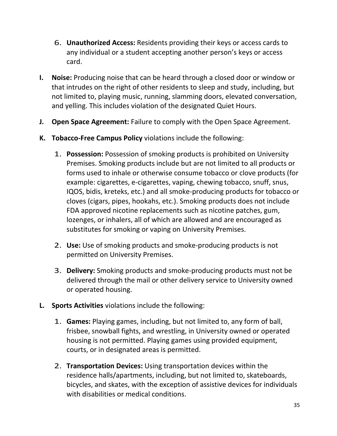- 6. **Unauthorized Access:** Residents providing their keys or access cards to any individual or a student accepting another person's keys or access card.
- **I. Noise:** Producing noise that can be heard through a closed door or window or that intrudes on the right of other residents to sleep and study, including, but not limited to, playing music, running, slamming doors, elevated conversation, and yelling. This includes violation of the designated Quiet Hours.
- **J. Open Space Agreement:** Failure to comply with the Open Space Agreement.
- **K. Tobacco-Free Campus Policy** violations include the following:
	- 1. **Possession:** Possession of smoking products is prohibited on University Premises. Smoking products include but are not limited to all products or forms used to inhale or otherwise consume tobacco or clove products (for example: cigarettes, e-cigarettes, vaping, chewing tobacco, snuff, snus, IQOS, bidis, kreteks, etc.) and all smoke-producing products for tobacco or cloves (cigars, pipes, hookahs, etc.). Smoking products does not include FDA approved nicotine replacements such as nicotine patches, gum, lozenges, or inhalers, all of which are allowed and are encouraged as substitutes for smoking or vaping on University Premises.
	- 2. **Use:** Use of smoking products and smoke-producing products is not permitted on University Premises.
	- 3. **Delivery:** Smoking products and smoke-producing products must not be delivered through the mail or other delivery service to University owned or operated housing.
- **L. Sports Activities** violations include the following:
	- 1. **Games:** Playing games, including, but not limited to, any form of ball, frisbee, snowball fights, and wrestling, in University owned or operated housing is not permitted. Playing games using provided equipment, courts, or in designated areas is permitted.
	- 2. **Transportation Devices:** Using transportation devices within the residence halls/apartments, including, but not limited to, skateboards, bicycles, and skates, with the exception of assistive devices for individuals with disabilities or medical conditions.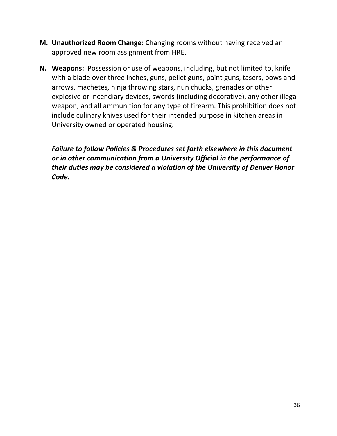- **M. Unauthorized Room Change:** Changing rooms without having received an approved new room assignment from HRE.
- **N. Weapons:** Possession or use of weapons, including, but not limited to, knife with a blade over three inches, guns, pellet guns, paint guns, tasers, bows and arrows, machetes, ninja throwing stars, nun chucks, grenades or other explosive or incendiary devices, swords (including decorative), any other illegal weapon, and all ammunition for any type of firearm. This prohibition does not include culinary knives used for their intended purpose in kitchen areas in University owned or operated housing.

*Failure to follow Policies & Procedures set forth elsewhere in this document or in other communication from a University Official in the performance of their duties may be considered a violation of the University of Denver Honor Code.*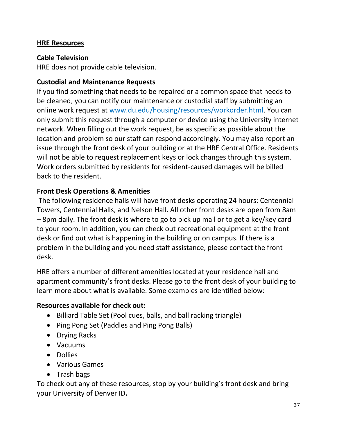# <span id="page-36-0"></span>**HRE Resources**

#### <span id="page-36-1"></span>**Cable Television**

HRE does not provide cable television.

#### <span id="page-36-2"></span>**Custodial and Maintenance Requests**

If you find something that needs to be repaired or a common space that needs to be cleaned, you can notify our maintenance or custodial staff by submitting an online work request at [www.du.edu/housing/resources/workorder.html.](about:blank) You can only submit this request through a computer or device using the University internet network. When filling out the work request, be as specific as possible about the location and problem so our staff can respond accordingly. You may also report an issue through the front desk of your building or at the HRE Central Office. Residents will not be able to request replacement keys or lock changes through this system. Work orders submitted by residents for resident-caused damages will be billed back to the resident.

#### <span id="page-36-3"></span>**Front Desk Operations & Amenities**

The following residence halls will have front desks operating 24 hours: Centennial Towers, Centennial Halls, and Nelson Hall. All other front desks are open from 8am – 8pm daily. The front desk is where to go to pick up mail or to get a key/key card to your room. In addition, you can check out recreational equipment at the front desk or find out what is happening in the building or on campus. If there is a problem in the building and you need staff assistance, please contact the front desk.

HRE offers a number of different amenities located at your residence hall and apartment community's front desks. Please go to the front desk of your building to learn more about what is available. Some examples are identified below:

#### <span id="page-36-4"></span>**Resources available for check out:**

- Billiard Table Set (Pool cues, balls, and ball racking triangle)
- Ping Pong Set (Paddles and Ping Pong Balls)
- Drying Racks
- Vacuums
- Dollies
- Various Games
- Trash bags

To check out any of these resources, stop by your building's front desk and bring your University of Denver ID**.**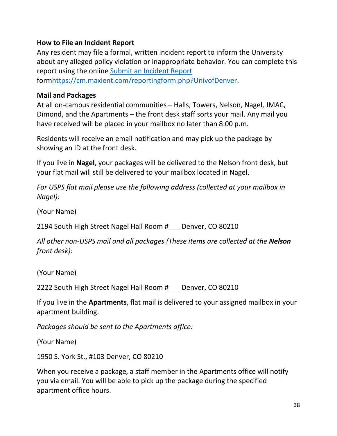# <span id="page-37-0"></span>**How to File an Incident Report**

Any resident may file a formal, written incident report to inform the University about any alleged policy violation or inappropriate behavior. You can complete this report using the online [Submit an Incident Report](about:blank) for[mhttps://cm.maxient.com/reportingform.php?UnivofDenver.](about:blank)

#### <span id="page-37-1"></span>**Mail and Packages**

At all on-campus residential communities – Halls, Towers, Nelson, Nagel, JMAC, Dimond, and the Apartments – the front desk staff sorts your mail. Any mail you have received will be placed in your mailbox no later than 8:00 p.m.

Residents will receive an email notification and may pick up the package by showing an ID at the front desk.

If you live in **Nagel**, your packages will be delivered to the Nelson front desk, but your flat mail will still be delivered to your mailbox located in Nagel.

*For USPS flat mail please use the following address (collected at your mailbox in Nagel):*

(Your Name)

2194 South High Street Nagel Hall Room #\_\_\_ Denver, CO 80210

*All other non-USPS mail and all packages (These items are collected at the Nelson front desk):*

(Your Name)

2222 South High Street Nagel Hall Room # Denver, CO 80210

If you live in the **Apartments**, flat mail is delivered to your assigned mailbox in your apartment building.

*Packages should be sent to the Apartments office:*

(Your Name)

1950 S. York St., #103 Denver, CO 80210

When you receive a package, a staff member in the Apartments office will notify you via email. You will be able to pick up the package during the specified apartment office hours.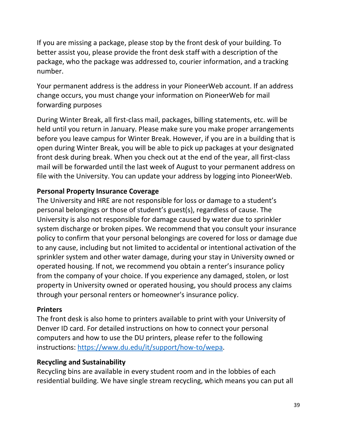If you are missing a package, please stop by the front desk of your building. To better assist you, please provide the front desk staff with a description of the package, who the package was addressed to, courier information, and a tracking number.

Your permanent address is the address in your PioneerWeb account. If an address change occurs, you must change your information on PioneerWeb for mail forwarding purposes

During Winter Break, all first-class mail, packages, billing statements, etc. will be held until you return in January. Please make sure you make proper arrangements before you leave campus for Winter Break. However, if you are in a building that is open during Winter Break, you will be able to pick up packages at your designated front desk during break. When you check out at the end of the year, all first-class mail will be forwarded until the last week of August to your permanent address on file with the University. You can update your address by logging into PioneerWeb.

#### <span id="page-38-0"></span>**Personal Property Insurance Coverage**

The University and HRE are not responsible for loss or damage to a student's personal belongings or those of student's guest(s), regardless of cause. The University is also not responsible for damage caused by water due to sprinkler system discharge or broken pipes. We recommend that you consult your insurance policy to confirm that your personal belongings are covered for loss or damage due to any cause, including but not limited to accidental or intentional activation of the sprinkler system and other water damage, during your stay in University owned or operated housing. If not, we recommend you obtain a renter's insurance policy from the company of your choice. If you experience any damaged, stolen, or lost property in University owned or operated housing, you should process any claims through your personal renters or homeowner's insurance policy.

#### <span id="page-38-1"></span>**Printers**

The front desk is also home to printers available to print with your University of Denver ID card. For detailed instructions on how to connect your personal computers and how to use the DU printers, please refer to the following instructions: [https://www.du.edu/it/support/how-to/wepa.](about:blank)

# <span id="page-38-2"></span>**Recycling and Sustainability**

Recycling bins are available in every student room and in the lobbies of each residential building. We have single stream recycling, which means you can put all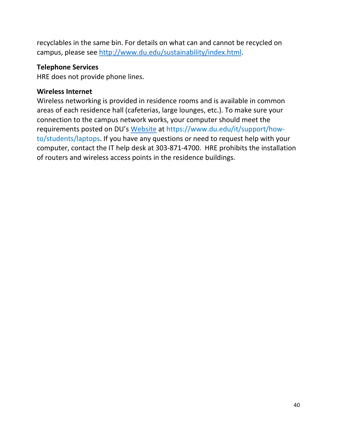recyclables in the same bin. For details on what can and cannot be recycled on campus, please see [http://www.du.edu/sustainability/index.html.](about:blank)

# <span id="page-39-0"></span>**Telephone Services**

HRE does not provide phone lines.

# <span id="page-39-1"></span>**Wireless Internet**

Wireless networking is provided in residence rooms and is available in common areas of each residence hall (cafeterias, large lounges, etc.). To make sure your connection to the campus network works, your computer should meet the requirements posted on DU's [Website](about:blank) at [https://www.du.edu/it/support/how](about:blank)[to/students/laptops.](about:blank) If you have any questions or need to request help with your computer, contact the IT help desk at 303-871-4700. HRE prohibits the installation of routers and wireless access points in the residence buildings.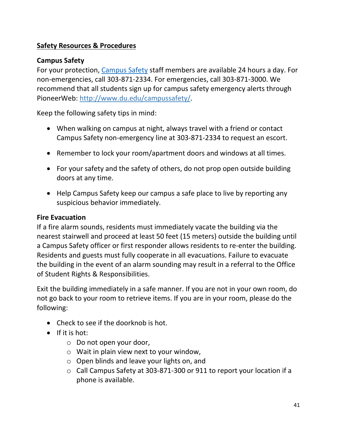# <span id="page-40-0"></span>**Safety Resources & Procedures**

# <span id="page-40-1"></span>**Campus Safety**

For your protection, [Campus Safety](about:blank) staff members are available 24 hours a day. For non-emergencies, call 303-871-2334. For emergencies, call 303-871-3000. We recommend that all students sign up for campus safety emergency alerts through PioneerWeb: [http://www.du.edu/campussafety/.](about:blank)

Keep the following safety tips in mind:

- When walking on campus at night, always travel with a friend or contact Campus Safety non-emergency line at 303-871-2334 to request an escort.
- Remember to lock your room/apartment doors and windows at all times.
- For your safety and the safety of others, do not prop open outside building doors at any time.
- Help Campus Safety keep our campus a safe place to live by reporting any suspicious behavior immediately.

# <span id="page-40-2"></span>**Fire Evacuation**

If a fire alarm sounds, residents must immediately vacate the building via the nearest stairwell and proceed at least 50 feet (15 meters) outside the building until a Campus Safety officer or first responder allows residents to re-enter the building. Residents and guests must fully cooperate in all evacuations. Failure to evacuate the building in the event of an alarm sounding may result in a referral to the Office of Student Rights & Responsibilities.

Exit the building immediately in a safe manner. If you are not in your own room, do not go back to your room to retrieve items. If you are in your room, please do the following:

- Check to see if the doorknob is hot.
- If it is hot:
	- o Do not open your door,
	- o Wait in plain view next to your window,
	- o Open blinds and leave your lights on, and
	- o Call Campus Safety at 303-871-300 or 911 to report your location if a phone is available.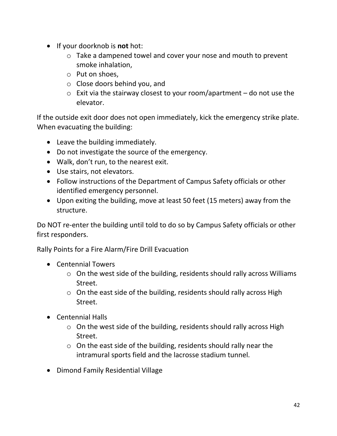- If your doorknob is **not** hot:
	- o Take a dampened towel and cover your nose and mouth to prevent smoke inhalation,
	- o Put on shoes,
	- o Close doors behind you, and
	- $\circ$  Exit via the stairway closest to your room/apartment do not use the elevator.

If the outside exit door does not open immediately, kick the emergency strike plate. When evacuating the building:

- Leave the building immediately.
- Do not investigate the source of the emergency.
- Walk, don't run, to the nearest exit.
- Use stairs, not elevators.
- Follow instructions of the Department of Campus Safety officials or other identified emergency personnel.
- Upon exiting the building, move at least 50 feet (15 meters) away from the structure.

Do NOT re-enter the building until told to do so by Campus Safety officials or other first responders.

Rally Points for a Fire Alarm/Fire Drill Evacuation

- Centennial Towers
	- o On the west side of the building, residents should rally across Williams Street.
	- o On the east side of the building, residents should rally across High Street.
- Centennial Halls
	- o On the west side of the building, residents should rally across High Street.
	- o On the east side of the building, residents should rally near the intramural sports field and the lacrosse stadium tunnel.
- Dimond Family Residential Village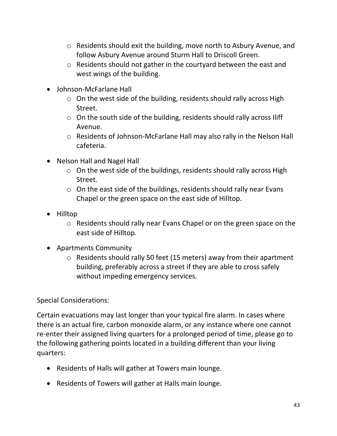- o Residents should exit the building, move north to Asbury Avenue, and follow Asbury Avenue around Sturm Hall to Driscoll Green.
- o Residents should not gather in the courtyard between the east and west wings of the building.
- Johnson-McFarlane Hall
	- o On the west side of the building, residents should rally across High Street.
	- o On the south side of the building, residents should rally across Iliff Avenue.
	- o Residents of Johnson-McFarlane Hall may also rally in the Nelson Hall cafeteria.
- Nelson Hall and Nagel Hall
	- o On the west side of the buildings, residents should rally across High Street.
	- o On the east side of the buildings, residents should rally near Evans Chapel or the green space on the east side of Hilltop.
- Hilltop
	- o Residents should rally near Evans Chapel or on the green space on the east side of Hilltop.
- Apartments Community
	- o Residents should rally 50 feet (15 meters) away from their apartment building, preferably across a street if they are able to cross safely without impeding emergency services.

Special Considerations:

Certain evacuations may last longer than your typical fire alarm. In cases where there is an actual fire, carbon monoxide alarm, or any instance where one cannot re-enter their assigned living quarters for a prolonged period of time, please go to the following gathering points located in a building different than your living quarters:

- Residents of Halls will gather at Towers main lounge.
- Residents of Towers will gather at Halls main lounge.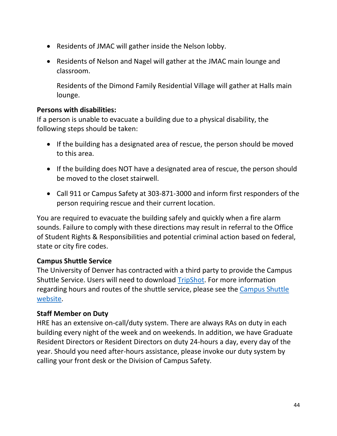- Residents of JMAC will gather inside the Nelson lobby.
- Residents of Nelson and Nagel will gather at the JMAC main lounge and classroom.

Residents of the Dimond Family Residential Village will gather at Halls main lounge.

#### <span id="page-43-0"></span>**Persons with disabilities:**

If a person is unable to evacuate a building due to a physical disability, the following steps should be taken:

- If the building has a designated area of rescue, the person should be moved to this area.
- If the building does NOT have a designated area of rescue, the person should be moved to the closet stairwell.
- Call 911 or Campus Safety at 303-871-3000 and inform first responders of the person requiring rescue and their current location.

You are required to evacuate the building safely and quickly when a fire alarm sounds. Failure to comply with these directions may result in referral to the Office of Student Rights & Responsibilities and potential criminal action based on federal, state or city fire codes.

# <span id="page-43-1"></span>**Campus Shuttle Service**

The University of Denver has contracted with a third party to provide the Campus Shuttle Service. Users will need to download [TripShot.](about:blank) For more information regarding hours and routes of the shuttle service, please see the Campus Shuttle [website.](about:blank)

# <span id="page-43-2"></span>**Staff Member on Duty**

HRE has an extensive on-call/duty system. There are always RAs on duty in each building every night of the week and on weekends. In addition, we have Graduate Resident Directors or Resident Directors on duty 24-hours a day, every day of the year. Should you need after-hours assistance, please invoke our duty system by calling your front desk or the Division of Campus Safety.